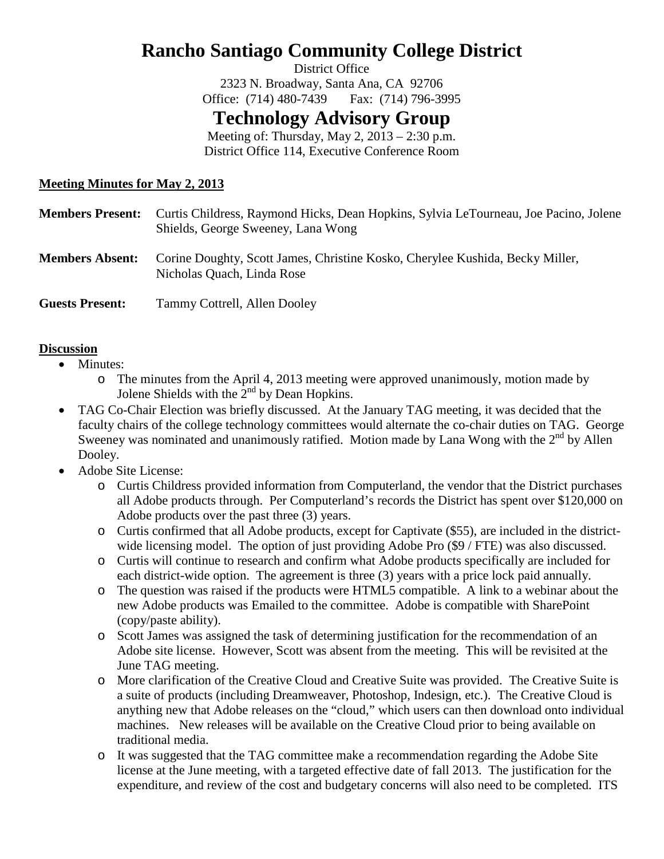# **Rancho Santiago Community College District**

District Office 2323 N. Broadway, Santa Ana, CA 92706 Office: (714) 480-7439 Fax: (714) 796-3995

# **Technology Advisory Group**

Meeting of: Thursday, May 2, 2013 – 2:30 p.m. District Office 114, Executive Conference Room

## **Meeting Minutes for May 2, 2013**

| <b>Members Present:</b> | Curtis Childress, Raymond Hicks, Dean Hopkins, Sylvia LeTourneau, Joe Pacino, Jolene<br>Shields, George Sweeney, Lana Wong |  |
|-------------------------|----------------------------------------------------------------------------------------------------------------------------|--|
| <b>Members Absent:</b>  | Corine Doughty, Scott James, Christine Kosko, Cherylee Kushida, Becky Miller,<br>Nicholas Quach, Linda Rose                |  |
| <b>Guests Present:</b>  | Tammy Cottrell, Allen Dooley                                                                                               |  |

### **Discussion**

- Minutes:
	- o The minutes from the April 4, 2013 meeting were approved unanimously, motion made by Jolene Shields with the  $2<sup>nd</sup>$  by Dean Hopkins.
- TAG Co-Chair Election was briefly discussed. At the January TAG meeting, it was decided that the faculty chairs of the college technology committees would alternate the co-chair duties on TAG. George Sweeney was nominated and unanimously ratified. Motion made by Lana Wong with the  $2<sup>nd</sup>$  by Allen Dooley.
- Adobe Site License:
	- o Curtis Childress provided information from Computerland, the vendor that the District purchases all Adobe products through. Per Computerland's records the District has spent over \$120,000 on Adobe products over the past three (3) years.
	- o Curtis confirmed that all Adobe products, except for Captivate (\$55), are included in the districtwide licensing model. The option of just providing Adobe Pro (\$9 / FTE) was also discussed.
	- o Curtis will continue to research and confirm what Adobe products specifically are included for each district-wide option. The agreement is three (3) years with a price lock paid annually.
	- o The question was raised if the products were HTML5 compatible. A link to a webinar about the new Adobe products was Emailed to the committee. Adobe is compatible with SharePoint (copy/paste ability).
	- o Scott James was assigned the task of determining justification for the recommendation of an Adobe site license. However, Scott was absent from the meeting. This will be revisited at the June TAG meeting.
	- o More clarification of the Creative Cloud and Creative Suite was provided. The Creative Suite is a suite of products (including Dreamweaver, Photoshop, Indesign, etc.). The Creative Cloud is anything new that Adobe releases on the "cloud," which users can then download onto individual machines. New releases will be available on the Creative Cloud prior to being available on traditional media.
	- o It was suggested that the TAG committee make a recommendation regarding the Adobe Site license at the June meeting, with a targeted effective date of fall 2013. The justification for the expenditure, and review of the cost and budgetary concerns will also need to be completed. ITS